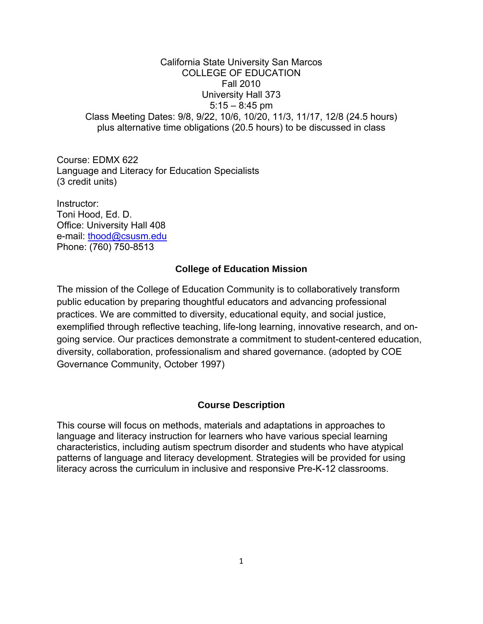California State University San Marcos COLLEGE OF EDUCATION Fall 2010 University Hall 373 5:15 – 8:45 pm Class Meeting Dates: 9/8, 9/22, 10/6, 10/20, 11/3, 11/17, 12/8 (24.5 hours) plus alternative time obligations (20.5 hours) to be discussed in class

Course: EDMX 622 Language and Literacy for Education Specialists (3 credit units)

Instructor: Toni Hood, Ed. D. Office: University Hall 408 e-mail: thood@csusm.edu Phone: (760) 750-8513

#### **College of Education Mission**

The mission of the College of Education Community is to collaboratively transform public education by preparing thoughtful educators and advancing professional practices. We are committed to diversity, educational equity, and social justice, exemplified through reflective teaching, life-long learning, innovative research, and ongoing service. Our practices demonstrate a commitment to student-centered education, diversity, collaboration, professionalism and shared governance. (adopted by COE Governance Community, October 1997)

#### **Course Description**

This course will focus on methods, materials and adaptations in approaches to language and literacy instruction for learners who have various special learning characteristics, including autism spectrum disorder and students who have atypical patterns of language and literacy development. Strategies will be provided for using literacy across the curriculum in inclusive and responsive Pre-K-12 classrooms.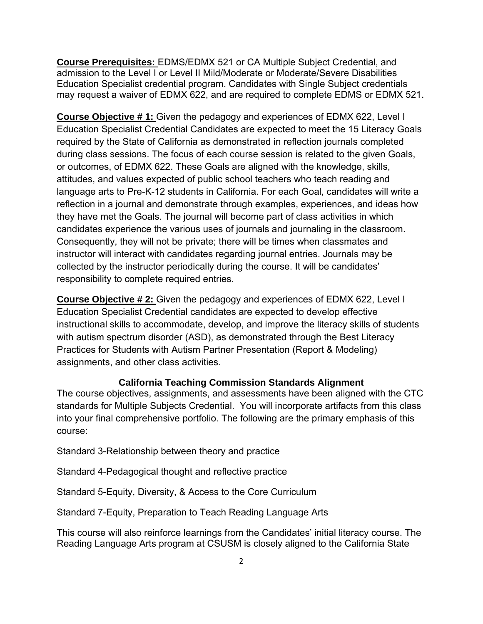**Course Prerequisites:** EDMS/EDMX 521 or CA Multiple Subject Credential, and admission to the Level I or Level II Mild/Moderate or Moderate/Severe Disabilities Education Specialist credential program. Candidates with Single Subject credentials may request a waiver of EDMX 622, and are required to complete EDMS or EDMX 521.

**Course Objective # 1:** Given the pedagogy and experiences of EDMX 622, Level I Education Specialist Credential Candidates are expected to meet the 15 Literacy Goals required by the State of California as demonstrated in reflection journals completed during class sessions. The focus of each course session is related to the given Goals, or outcomes, of EDMX 622. These Goals are aligned with the knowledge, skills, attitudes, and values expected of public school teachers who teach reading and language arts to Pre-K-12 students in California. For each Goal, candidates will write a reflection in a journal and demonstrate through examples, experiences, and ideas how they have met the Goals. The journal will become part of class activities in which candidates experience the various uses of journals and journaling in the classroom. Consequently, they will not be private; there will be times when classmates and instructor will interact with candidates regarding journal entries. Journals may be collected by the instructor periodically during the course. It will be candidates' responsibility to complete required entries.

**Course Objective # 2:** Given the pedagogy and experiences of EDMX 622, Level I Education Specialist Credential candidates are expected to develop effective instructional skills to accommodate, develop, and improve the literacy skills of students with autism spectrum disorder (ASD), as demonstrated through the Best Literacy Practices for Students with Autism Partner Presentation (Report & Modeling) assignments, and other class activities.

#### **California Teaching Commission Standards Alignment**

The course objectives, assignments, and assessments have been aligned with the CTC standards for Multiple Subjects Credential. You will incorporate artifacts from this class into your final comprehensive portfolio. The following are the primary emphasis of this course:

Standard 3-Relationship between theory and practice

Standard 4-Pedagogical thought and reflective practice

Standard 5-Equity, Diversity, & Access to the Core Curriculum

Standard 7-Equity, Preparation to Teach Reading Language Arts

This course will also reinforce learnings from the Candidates' initial literacy course. The Reading Language Arts program at CSUSM is closely aligned to the California State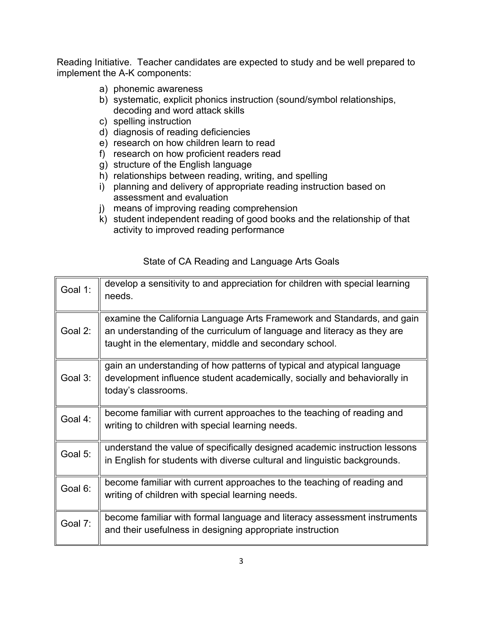Reading Initiative. Teacher candidates are expected to study and be well prepared to implement the A-K components:

- a) phonemic awareness
- b) systematic, explicit phonics instruction (sound/symbol relationships, decoding and word attack skills
- c) spelling instruction
- d) diagnosis of reading deficiencies
- e) research on how children learn to read
- f) research on how proficient readers read
- g) structure of the English language
- h) relationships between reading, writing, and spelling
- i) planning and delivery of appropriate reading instruction based on assessment and evaluation
- j) means of improving reading comprehension
- k) student independent reading of good books and the relationship of that activity to improved reading performance

## State of CA Reading and Language Arts Goals

| Goal 1: | develop a sensitivity to and appreciation for children with special learning<br>needs.                                                                                                                      |
|---------|-------------------------------------------------------------------------------------------------------------------------------------------------------------------------------------------------------------|
| Goal 2: | examine the California Language Arts Framework and Standards, and gain<br>an understanding of the curriculum of language and literacy as they are<br>taught in the elementary, middle and secondary school. |
| Goal 3: | gain an understanding of how patterns of typical and atypical language<br>development influence student academically, socially and behaviorally in<br>today's classrooms.                                   |
| Goal 4: | become familiar with current approaches to the teaching of reading and<br>writing to children with special learning needs.                                                                                  |
| Goal 5: | understand the value of specifically designed academic instruction lessons<br>in English for students with diverse cultural and linguistic backgrounds.                                                     |
| Goal 6: | become familiar with current approaches to the teaching of reading and<br>writing of children with special learning needs.                                                                                  |
| Goal 7: | become familiar with formal language and literacy assessment instruments<br>and their usefulness in designing appropriate instruction                                                                       |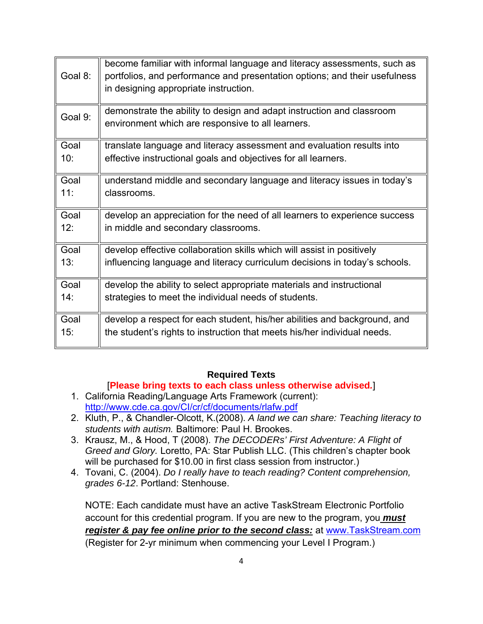| Goal 8: | become familiar with informal language and literacy assessments, such as<br>portfolios, and performance and presentation options; and their usefulness<br>in designing appropriate instruction. |
|---------|-------------------------------------------------------------------------------------------------------------------------------------------------------------------------------------------------|
| Goal 9: | demonstrate the ability to design and adapt instruction and classroom<br>environment which are responsive to all learners.                                                                      |
| Goal    | translate language and literacy assessment and evaluation results into                                                                                                                          |
| 10:     | effective instructional goals and objectives for all learners.                                                                                                                                  |
| Goal    | understand middle and secondary language and literacy issues in today's                                                                                                                         |
| 11:     | classrooms.                                                                                                                                                                                     |
| Goal    | develop an appreciation for the need of all learners to experience success                                                                                                                      |
| 12:     | in middle and secondary classrooms.                                                                                                                                                             |
| Goal    | develop effective collaboration skills which will assist in positively                                                                                                                          |
| 13:     | influencing language and literacy curriculum decisions in today's schools.                                                                                                                      |
| Goal    | develop the ability to select appropriate materials and instructional                                                                                                                           |
| 14:     | strategies to meet the individual needs of students.                                                                                                                                            |
| Goal    | develop a respect for each student, his/her abilities and background, and                                                                                                                       |
| 15:     | the student's rights to instruction that meets his/her individual needs.                                                                                                                        |

#### **Required Texts**

#### [**Please bring texts to each class unless otherwise advised***.*]

- http://www.cde.ca.gov/Cl/cr/cf/documents/rlafw.pdf 1. California Reading/Language Arts Framework (current):
- 2. Kluth, P., & Chandler-Olcott, K.(2008). A land we can share: Teaching literacy to *students with autism.* Baltimore: Paul H. Brookes.
- 3. Krausz, M., & Hood, T (2008). *The DECODERs' First Adventure: A Flight of Greed and Glory.* Loretto, PA: Star Publish LLC. (This children's chapter book will be purchased for \$10.00 in first class session from instructor.)
- 4. Tovani, C. (2004). *Do I really have to teach reading? Content comprehension, grades 6-12*. Portland: Stenhouse.

NOTE: Each candidate must have an active TaskStream Electronic Portfolio account for this credential program. If you are new to the program, you *must register & pay fee online prior to the second class:* at www.TaskStream.com (Register for 2-yr minimum when commencing your Level I Program.)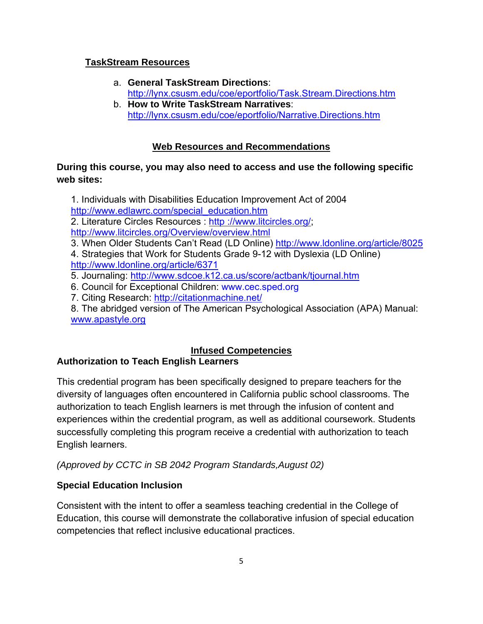### **TaskStream Resources**

- a. **General TaskStream Directions**: http://lynx.csusm.edu/coe/eportfolio/Task.Stream.Directions.htm
- b. **How to Write TaskStream Narratives**: http://lynx.csusm.edu/coe/eportfolio/Narrative.Directions.htm

### **Web Resources and Recommendations**

### **During this course, you may also need to access and use the following specific web sites:**

1. Individuals with Disabilities Education Improvement Act of 2004 http://www.edlawrc.com/special\_education.htm 2. Literature Circles Resources : http ://www.litcircles.org/; http://www.litcircles.org/Overview/overview.html 3. When Older Students Can't Read (LD Online) http://www.ldonline.org/article/8025 4. Strategies that Work for Students Grade 9-12 with Dyslexia (LD Online) http://www.ldonline.org/article/6371 5. Journaling: http://www.sdcoe.k12.ca.us/score/actbank/tjournal.htm 6. Council for Exceptional Children: www.cec.sped.org 7. Citing Research: http://citationmachine.net/

8. The abridged version of The American Psychological Association (APA) Manual: www.apastyle.org

# **Infused Competencies**

## **Authorization to Teach English Learners**

This credential program has been specifically designed to prepare teachers for the diversity of languages often encountered in California public school classrooms. The authorization to teach English learners is met through the infusion of content and experiences within the credential program, as well as additional coursework. Students successfully completing this program receive a credential with authorization to teach English learners.

*(Approved by CCTC in SB 2042 Program Standards,August 02)* 

## **Special Education Inclusion**

Consistent with the intent to offer a seamless teaching credential in the College of Education, this course will demonstrate the collaborative infusion of special education competencies that reflect inclusive educational practices.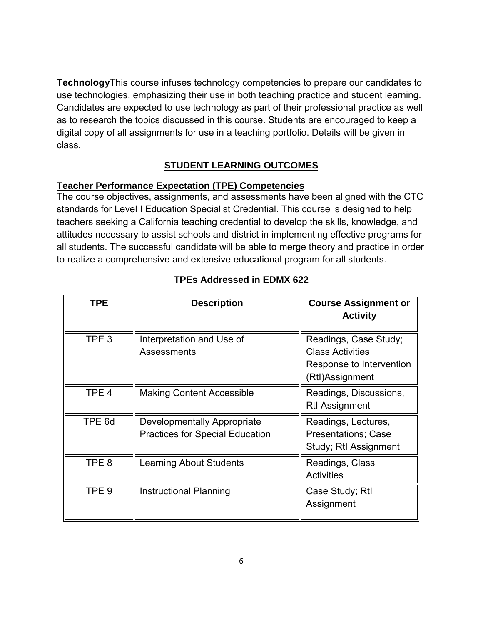**Technology**This course infuses technology competencies to prepare our candidates to use technologies, emphasizing their use in both teaching practice and student learning. Candidates are expected to use technology as part of their professional practice as well as to research the topics discussed in this course. Students are encouraged to keep a digital copy of all assignments for use in a teaching portfolio. Details will be given in class.

### **STUDENT LEARNING OUTCOMES**

#### **Teacher Performance Expectation (TPE) Competencies**

 to realize a comprehensive and extensive educational program for all students. The course objectives, assignments, and assessments have been aligned with the CTC standards for Level I Education Specialist Credential. This course is designed to help teachers seeking a California teaching credential to develop the skills, knowledge, and attitudes necessary to assist schools and district in implementing effective programs for all students. The successful candidate will be able to merge theory and practice in order

| <b>TPE</b>       | <b>Description</b>                                                    | <b>Course Assignment or</b><br><b>Activity</b>                                                  |
|------------------|-----------------------------------------------------------------------|-------------------------------------------------------------------------------------------------|
| TPE <sub>3</sub> | Interpretation and Use of<br>Assessments                              | Readings, Case Study;<br><b>Class Activities</b><br>Response to Intervention<br>(Rtl)Assignment |
| TPE <sub>4</sub> | <b>Making Content Accessible</b>                                      | Readings, Discussions,<br><b>Rtl Assignment</b>                                                 |
| TPE 6d           | Developmentally Appropriate<br><b>Practices for Special Education</b> | Readings, Lectures,<br><b>Presentations</b> ; Case<br>Study; RtI Assignment                     |
| TPE <sub>8</sub> | <b>Learning About Students</b>                                        | Readings, Class<br><b>Activities</b>                                                            |
| TPE <sub>9</sub> | Instructional Planning                                                | Case Study; Rtl<br>Assignment                                                                   |

### **TPEs Addressed in EDMX 622**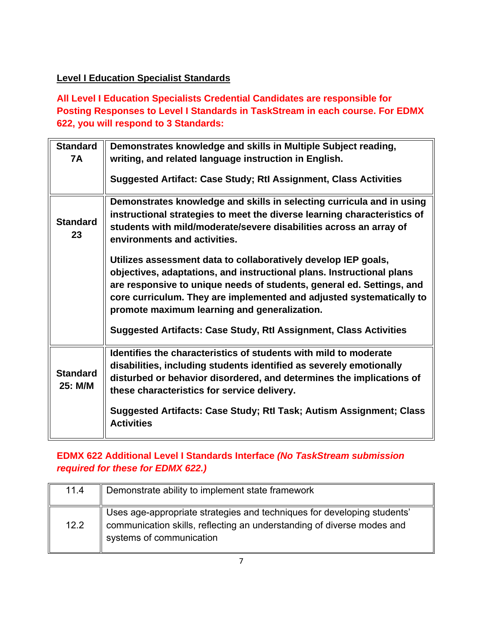# **Level I Education Specialist Standards**

# **All Level I Education Specialists Credential Candidates are responsible for Posting Responses to Level I Standards in TaskStream in each course. For EDMX 622, you will respond to 3 Standards:**

| <b>Standard</b><br><b>7A</b> | Demonstrates knowledge and skills in Multiple Subject reading,<br>writing, and related language instruction in English.<br>Suggested Artifact: Case Study; RtI Assignment, Class Activities                                                                                                                                                                |
|------------------------------|------------------------------------------------------------------------------------------------------------------------------------------------------------------------------------------------------------------------------------------------------------------------------------------------------------------------------------------------------------|
| <b>Standard</b><br>23        | Demonstrates knowledge and skills in selecting curricula and in using<br>instructional strategies to meet the diverse learning characteristics of<br>students with mild/moderate/severe disabilities across an array of<br>environments and activities.                                                                                                    |
|                              | Utilizes assessment data to collaboratively develop IEP goals,<br>objectives, adaptations, and instructional plans. Instructional plans<br>are responsive to unique needs of students, general ed. Settings, and<br>core curriculum. They are implemented and adjusted systematically to<br>promote maximum learning and generalization.                   |
|                              | Suggested Artifacts: Case Study, Rtl Assignment, Class Activities                                                                                                                                                                                                                                                                                          |
| <b>Standard</b><br>25: M/M   | Identifies the characteristics of students with mild to moderate<br>disabilities, including students identified as severely emotionally<br>disturbed or behavior disordered, and determines the implications of<br>these characteristics for service delivery.<br>Suggested Artifacts: Case Study; RtI Task; Autism Assignment; Class<br><b>Activities</b> |
|                              |                                                                                                                                                                                                                                                                                                                                                            |

## **EDMX 622 Additional Level I Standards Interface** *(No TaskStream submission required for these for EDMX 622.)*

| 11.4 | Demonstrate ability to implement state framework                                                                                                                              |
|------|-------------------------------------------------------------------------------------------------------------------------------------------------------------------------------|
| 12.2 | Uses age-appropriate strategies and techniques for developing students'<br>communication skills, reflecting an understanding of diverse modes and<br>systems of communication |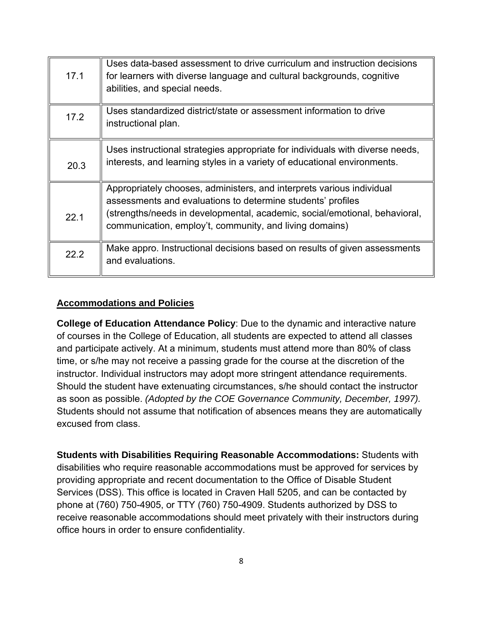| 17.1 | Uses data-based assessment to drive curriculum and instruction decisions<br>for learners with diverse language and cultural backgrounds, cognitive<br>abilities, and special needs.                                                                                           |
|------|-------------------------------------------------------------------------------------------------------------------------------------------------------------------------------------------------------------------------------------------------------------------------------|
| 17.2 | Uses standardized district/state or assessment information to drive<br>instructional plan.                                                                                                                                                                                    |
| 20.3 | Uses instructional strategies appropriate for individuals with diverse needs,<br>interests, and learning styles in a variety of educational environments.                                                                                                                     |
| 22.1 | Appropriately chooses, administers, and interprets various individual<br>assessments and evaluations to determine students' profiles<br>(strengths/needs in developmental, academic, social/emotional, behavioral,<br>communication, employ't, community, and living domains) |
| 22.2 | Make appro. Instructional decisions based on results of given assessments<br>and evaluations.                                                                                                                                                                                 |

### **Accommodations and Policies**

**College of Education Attendance Policy**: Due to the dynamic and interactive nature of courses in the College of Education, all students are expected to attend all classes and participate actively. At a minimum, students must attend more than 80% of class time, or s/he may not receive a passing grade for the course at the discretion of the instructor. Individual instructors may adopt more stringent attendance requirements. Should the student have extenuating circumstances, s/he should contact the instructor as soon as possible. *(Adopted by the COE Governance Community, December, 1997).*  Students should not assume that notification of absences means they are automatically excused from class.

**Students with Disabilities Requiring Reasonable Accommodations:** Students with disabilities who require reasonable accommodations must be approved for services by providing appropriate and recent documentation to the Office of Disable Student Services (DSS). This office is located in Craven Hall 5205, and can be contacted by phone at (760) 750-4905, or TTY (760) 750-4909. Students authorized by DSS to receive reasonable accommodations should meet privately with their instructors during office hours in order to ensure confidentiality.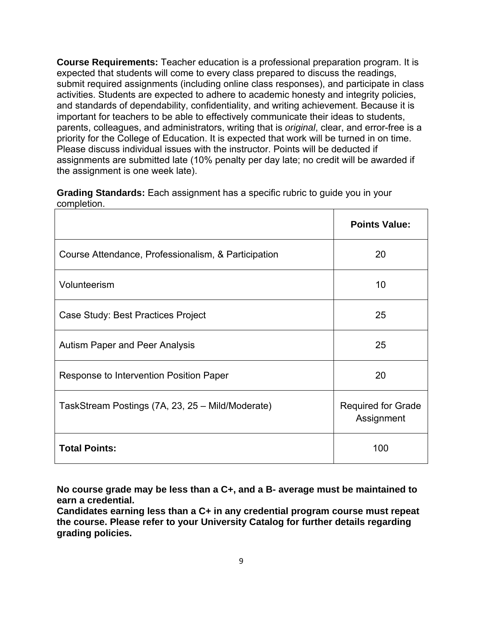**Course Requirements:** Teacher education is a professional preparation program. It is expected that students will come to every class prepared to discuss the readings, submit required assignments (including online class responses), and participate in class activities. Students are expected to adhere to academic honesty and integrity policies, and standards of dependability, confidentiality, and writing achievement. Because it is important for teachers to be able to effectively communicate their ideas to students, parents, colleagues, and administrators, writing that is *original*, clear, and error-free is a priority for the College of Education. It is expected that work will be turned in on time. Please discuss individual issues with the instructor. Points will be deducted if assignments are submitted late (10% penalty per day late; no credit will be awarded if the assignment is one week late).

**Grading Standards:** Each assignment has a specific rubric to guide you in your completion.

|                                                     | <b>Points Value:</b>             |
|-----------------------------------------------------|----------------------------------|
| Course Attendance, Professionalism, & Participation | 20                               |
| Volunteerism                                        | 10                               |
| Case Study: Best Practices Project                  | 25                               |
| <b>Autism Paper and Peer Analysis</b>               | 25                               |
| Response to Intervention Position Paper             | 20                               |
| TaskStream Postings (7A, 23, 25 - Mild/Moderate)    | Required for Grade<br>Assignment |
| <b>Total Points:</b>                                | 100                              |

**No course grade may be less than a C+, and a B- average must be maintained to earn a credential.** 

**Candidates earning less than a C+ in any credential program course must repeat the course. Please refer to your University Catalog for further details regarding grading policies.**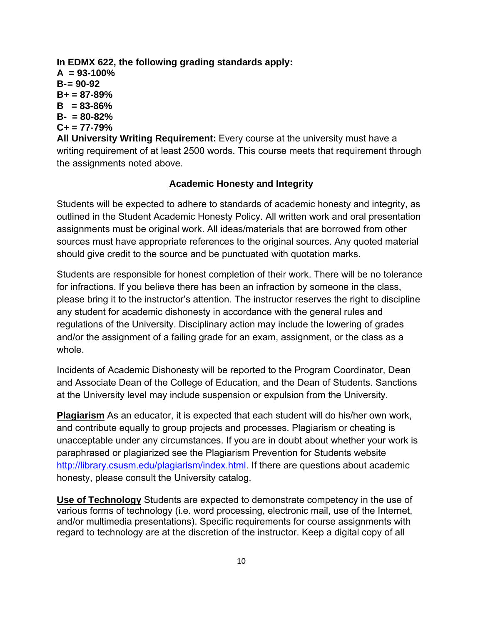**In EDMX 622, the following grading standards apply: A = 93-100% B- = 90-92 B+ = 87-89% B = 83-86% B- = 80-82% C+ = 77-79% All University Writing Requirement:** Every course at the university must have a

writing requirement of at least 2500 words. This course meets that requirement through the assignments noted above.

#### **Academic Honesty and Integrity**

Students will be expected to adhere to standards of academic honesty and integrity, as outlined in the Student Academic Honesty Policy. All written work and oral presentation assignments must be original work. All ideas/materials that are borrowed from other sources must have appropriate references to the original sources. Any quoted material should give credit to the source and be punctuated with quotation marks.

Students are responsible for honest completion of their work. There will be no tolerance for infractions. If you believe there has been an infraction by someone in the class, please bring it to the instructor's attention. The instructor reserves the right to discipline any student for academic dishonesty in accordance with the general rules and regulations of the University. Disciplinary action may include the lowering of grades and/or the assignment of a failing grade for an exam, assignment, or the class as a whole.

Incidents of Academic Dishonesty will be reported to the Program Coordinator, Dean and Associate Dean of the College of Education, and the Dean of Students. Sanctions at the University level may include suspension or expulsion from the University.

**Plagiarism** As an educator, it is expected that each student will do his/her own work, and contribute equally to group projects and processes. Plagiarism or cheating is unacceptable under any circumstances. If you are in doubt about whether your work is paraphrased or plagiarized see the Plagiarism Prevention for Students website http://library.csusm.edu/plagiarism/index.html. If there are questions about academic honesty, please consult the University catalog.

**Use of Technology** Students are expected to demonstrate competency in the use of various forms of technology (i.e. word processing, electronic mail, use of the Internet, and/or multimedia presentations). Specific requirements for course assignments with regard to technology are at the discretion of the instructor. Keep a digital copy of all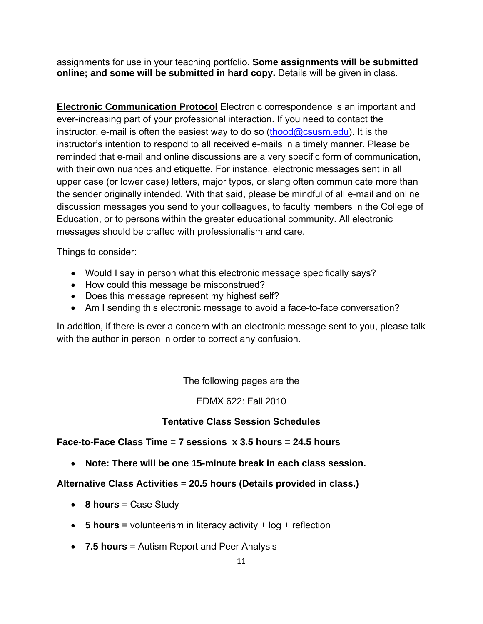assignments for use in your teaching portfolio. **Some assignments will be submitted online; and some will be submitted in hard copy.** Details will be given in class.

**Electronic Communication Protocol** Electronic correspondence is an important and ever-increasing part of your professional interaction. If you need to contact the instructor, e-mail is often the easiest way to do so  $(thood@cssusm.edu)$ . It is the instructor's intention to respond to all received e-mails in a timely manner. Please be reminded that e-mail and online discussions are a very specific form of communication, with their own nuances and etiquette. For instance, electronic messages sent in all upper case (or lower case) letters, major typos, or slang often communicate more than the sender originally intended. With that said, please be mindful of all e-mail and online discussion messages you send to your colleagues, to faculty members in the College of Education, or to persons within the greater educational community. All electronic messages should be crafted with professionalism and care.

Things to consider:

- Would I say in person what this electronic message specifically says?
- How could this message be misconstrued?
- Does this message represent my highest self?
- Am I sending this electronic message to avoid a face-to-face conversation?

In addition, if there is ever a concern with an electronic message sent to you, please talk with the author in person in order to correct any confusion.

The following pages are the

EDMX 622: Fall 2010

**Tentative Class Session Schedules** 

**Face-to-Face Class Time = 7 sessions x 3.5 hours = 24.5 hours** 

**Note: There will be one 15-minute break in each class session.** 

**Alternative Class Activities = 20.5 hours (Details provided in class.)** 

- **8 hours** = Case Study
- **5 hours** = volunteerism in literacy activity + log + reflection
- **7.5 hours** = Autism Report and Peer Analysis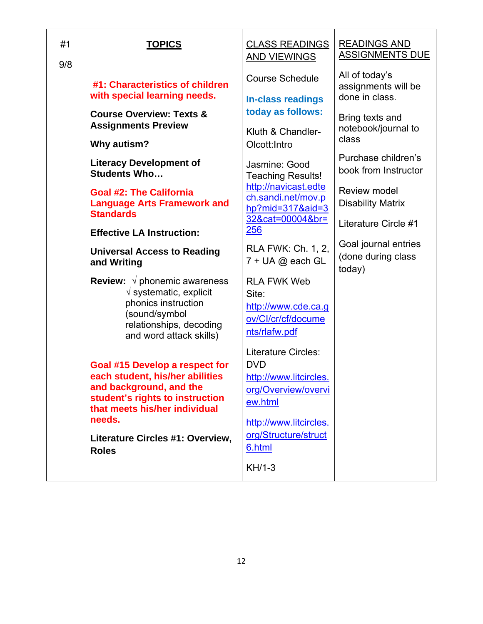| #1<br>9/8 | <u>TOPICS</u>                                                                                                                                                                                                                                                                                                                                                                                                                 | <b>CLASS READINGS</b><br><b>AND VIEWINGS</b>                                                                                                                                                                                                                                                  | <b>READINGS AND</b><br><b>ASSIGNMENTS DUE</b>                                                                                                                                                                                                                               |
|-----------|-------------------------------------------------------------------------------------------------------------------------------------------------------------------------------------------------------------------------------------------------------------------------------------------------------------------------------------------------------------------------------------------------------------------------------|-----------------------------------------------------------------------------------------------------------------------------------------------------------------------------------------------------------------------------------------------------------------------------------------------|-----------------------------------------------------------------------------------------------------------------------------------------------------------------------------------------------------------------------------------------------------------------------------|
|           | #1: Characteristics of children<br>with special learning needs.<br><b>Course Overview: Texts &amp;</b><br><b>Assignments Preview</b><br><b>Why autism?</b><br><b>Literacy Development of</b><br><b>Students Who</b><br><b>Goal #2: The California</b><br><b>Language Arts Framework and</b><br><b>Standards</b><br><b>Effective LA Instruction:</b><br><b>Universal Access to Reading</b>                                     | <b>Course Schedule</b><br><b>In-class readings</b><br>today as follows:<br>Kluth & Chandler-<br>Olcott: Intro<br>Jasmine: Good<br><b>Teaching Results!</b><br>http://navicast.edte<br>ch.sandi.net/mov.p<br>hp?mid=317&aid=3<br>32&cat=00004&br=<br>256<br>RLA FWK: Ch. 1, 2,                 | All of today's<br>assignments will be<br>done in class.<br>Bring texts and<br>notebook/journal to<br>class<br>Purchase children's<br>book from Instructor<br>Review model<br><b>Disability Matrix</b><br>Literature Circle #1<br>Goal journal entries<br>(done during class |
|           | and Writing<br><b>Review:</b> $\sqrt{}$ phonemic awareness<br>$\sqrt{ }$ systematic, explicit<br>phonics instruction<br>(sound/symbol<br>relationships, decoding<br>and word attack skills)<br>Goal #15 Develop a respect for<br>each student, his/her abilities<br>and background, and the<br>student's rights to instruction<br>that meets his/her individual<br>needs.<br>Literature Circles #1: Overview,<br><b>Roles</b> | $7 + UA$ @ each GL<br><b>RLA FWK Web</b><br>Site:<br>http://www.cde.ca.g<br>ov/Cl/cr/cf/docume<br>nts/rlafw.pdf<br><b>Literature Circles:</b><br><b>DVD</b><br>http://www.litcircles.<br>org/Overview/overvi<br>ew.html<br>http://www.litcircles.<br>org/Structure/struct<br>6.html<br>KH/1-3 | today)                                                                                                                                                                                                                                                                      |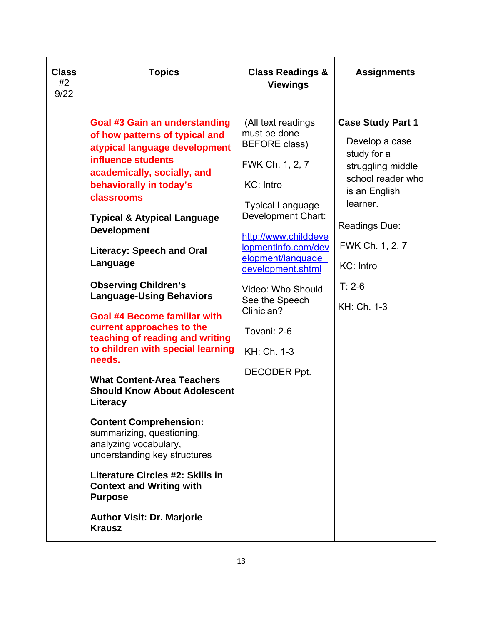| (All text readings<br><b>Case Study Part 1</b><br><b>Goal #3 Gain an understanding</b><br>must be done<br>of how patterns of typical and<br>Develop a case<br><b>BEFORE class)</b><br>atypical language development<br>study for a<br>influence students<br>FWK Ch. 1, 2, 7<br>struggling middle<br>academically, socially, and<br>school reader who<br>KC: Intro<br>behaviorally in today's<br>is an English                                                                                                                                                                                                                                                                                                                                                                                                                                                                                                                                                                                                                           | <b>Class</b><br>#2<br>9/22 | <b>Topics</b>     | <b>Class Readings &amp;</b><br><b>Viewings</b> | <b>Assignments</b> |
|-----------------------------------------------------------------------------------------------------------------------------------------------------------------------------------------------------------------------------------------------------------------------------------------------------------------------------------------------------------------------------------------------------------------------------------------------------------------------------------------------------------------------------------------------------------------------------------------------------------------------------------------------------------------------------------------------------------------------------------------------------------------------------------------------------------------------------------------------------------------------------------------------------------------------------------------------------------------------------------------------------------------------------------------|----------------------------|-------------------|------------------------------------------------|--------------------|
| learner.<br><b>Typical Language</b><br>Development Chart:<br><b>Typical &amp; Atypical Language</b><br>Readings Due:<br><b>Development</b><br>http://www.childdeve<br>FWK Ch. 1, 2, 7<br>lopmentinfo.com/dev<br><b>Literacy: Speech and Oral</b><br>elopment/language<br>Language<br>KC: Intro<br>development.shtml<br><b>Observing Children's</b><br>$T: 2-6$<br>Video: Who Should<br><b>Language-Using Behaviors</b><br>See the Speech<br>KH: Ch. 1-3<br>Clinician?<br><b>Goal #4 Become familiar with</b><br>current approaches to the<br>Tovani: 2-6<br>teaching of reading and writing<br>to children with special learning<br>KH: Ch. 1-3<br>needs.<br>DECODER Ppt.<br><b>What Content-Area Teachers</b><br><b>Should Know About Adolescent</b><br>Literacy<br><b>Content Comprehension:</b><br>summarizing, questioning,<br>analyzing vocabulary,<br>understanding key structures<br>Literature Circles #2: Skills in<br><b>Context and Writing with</b><br><b>Purpose</b><br><b>Author Visit: Dr. Marjorie</b><br><b>Krausz</b> |                            | <b>classrooms</b> |                                                |                    |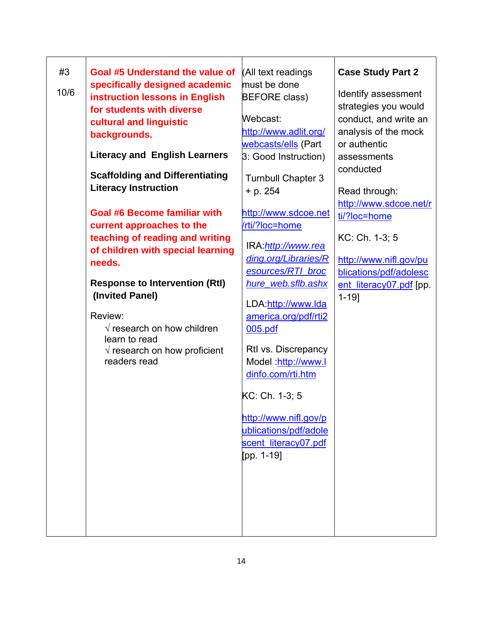| #3   | <b>Goal #5 Understand the value of</b> | (All text readings        | <b>Case Study Part 2</b> |
|------|----------------------------------------|---------------------------|--------------------------|
|      | specifically designed academic         | must be done              |                          |
| 10/6 | instruction lessons in English         | <b>BEFORE class)</b>      | Identify assessment      |
|      | for students with diverse              |                           | strategies you would     |
|      | cultural and linguistic                | Webcast:                  | conduct, and write an    |
|      | backgrounds.                           | http://www.adlit.org/     | analysis of the mock     |
|      |                                        | webcasts/ells (Part       | or authentic             |
|      | <b>Literacy and English Learners</b>   | 3: Good Instruction)      | assessments              |
|      | <b>Scaffolding and Differentiating</b> | <b>Turnbull Chapter 3</b> | conducted                |
|      | <b>Literacy Instruction</b>            | + p. 254                  | Read through:            |
|      |                                        |                           | http://www.sdcoe.net/r   |
|      | <b>Goal #6 Become familiar with</b>    | http://www.sdcoe.net      | ti/?loc=home             |
|      | current approaches to the              | /rti/?loc=home            |                          |
|      | teaching of reading and writing        |                           | KC: Ch. 1-3; 5           |
|      | of children with special learning      | IRA: http://www.rea       |                          |
|      | needs.                                 | ding.org/Libraries/R      | http://www.nifl.gov/pu   |
|      |                                        | esources/RTI_broc         | blications/pdf/adolesc   |
|      | <b>Response to Intervention (RtI)</b>  | hure_web.sflb.ashx        | ent literacy07.pdf [pp.  |
|      | (Invited Panel)                        | LDA http://www.lda        | $1 - 19$                 |
|      | Review:                                | america.org/pdf/rti2      |                          |
|      | $\sqrt{}$ research on how children     | 005.pdf                   |                          |
|      | learn to read                          |                           |                          |
|      | $\sqrt{}$ research on how proficient   | Rtl vs. Discrepancy       |                          |
|      | readers read                           | Model : http://www.l      |                          |
|      |                                        | dinfo.com/rti.htm         |                          |
|      |                                        | KC: Ch. 1-3; 5            |                          |
|      |                                        | http://www.nifl.gov/p     |                          |
|      |                                        | ublications/pdf/adole     |                          |
|      |                                        | scent literacy07.pdf      |                          |
|      |                                        | [pp. 1-19]                |                          |
|      |                                        |                           |                          |
|      |                                        |                           |                          |
|      |                                        |                           |                          |
|      |                                        |                           |                          |
|      |                                        |                           |                          |
|      |                                        |                           |                          |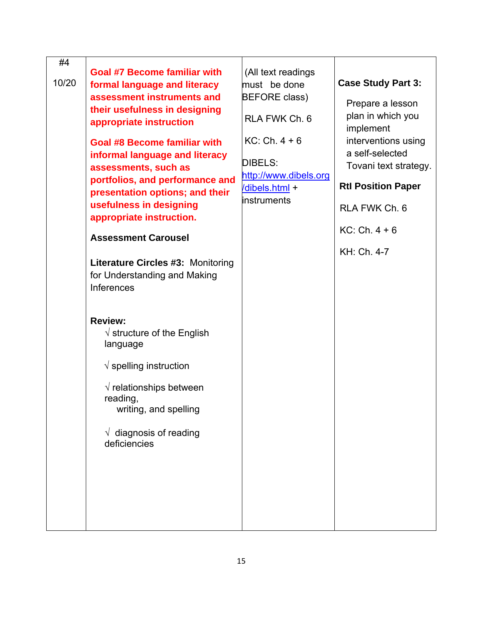| #4    |                                      |                       |                           |
|-------|--------------------------------------|-----------------------|---------------------------|
|       | <b>Goal #7 Become familiar with</b>  | (All text readings    |                           |
| 10/20 | formal language and literacy         | must be done          | <b>Case Study Part 3:</b> |
|       | assessment instruments and           | <b>BEFORE class)</b>  |                           |
|       | their usefulness in designing        |                       | Prepare a lesson          |
|       | appropriate instruction              | RLA FWK Ch. 6         | plan in which you         |
|       |                                      |                       | implement                 |
|       | <b>Goal #8 Become familiar with</b>  | $KC: Ch. 4 + 6$       | interventions using       |
|       | informal language and literacy       | <b>DIBELS:</b>        | a self-selected           |
|       | assessments, such as                 | http://www.dibels.org | Tovani text strategy.     |
|       | portfolios, and performance and      | /dibels.html +        | <b>Rtl Position Paper</b> |
|       | presentation options; and their      | instruments           |                           |
|       | usefulness in designing              |                       | RLA FWK Ch. 6             |
|       | appropriate instruction.             |                       |                           |
|       | <b>Assessment Carousel</b>           |                       | $KC: Ch. 4 + 6$           |
|       |                                      |                       | KH: Ch. 4-7               |
|       | Literature Circles #3: Monitoring    |                       |                           |
|       | for Understanding and Making         |                       |                           |
|       | Inferences                           |                       |                           |
|       |                                      |                       |                           |
|       |                                      |                       |                           |
|       | <b>Review:</b>                       |                       |                           |
|       | $\sqrt{\ }$ structure of the English |                       |                           |
|       | language                             |                       |                           |
|       |                                      |                       |                           |
|       | $\sqrt{}$ spelling instruction       |                       |                           |
|       | $\sqrt{}$ relationships between      |                       |                           |
|       | reading,                             |                       |                           |
|       | writing, and spelling                |                       |                           |
|       |                                      |                       |                           |
|       | $\sqrt{ }$ diagnosis of reading      |                       |                           |
|       | deficiencies                         |                       |                           |
|       |                                      |                       |                           |
|       |                                      |                       |                           |
|       |                                      |                       |                           |
|       |                                      |                       |                           |
|       |                                      |                       |                           |
|       |                                      |                       |                           |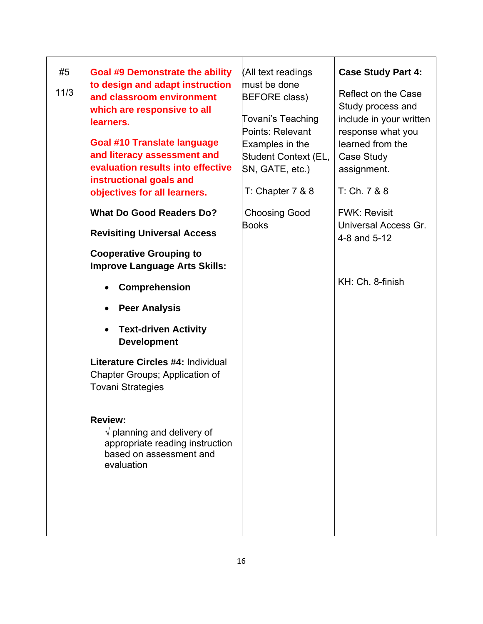| #5<br>11/3 | <b>Goal #9 Demonstrate the ability</b><br>to design and adapt instruction<br>and classroom environment<br>which are responsive to all<br>learners.<br><b>Goal #10 Translate language</b><br>and literacy assessment and<br>evaluation results into effective | (All text readings<br>must be done<br><b>BEFORE class)</b><br>Tovani's Teaching<br>Points: Relevant<br>Examples in the<br>Student Context (EL,<br>SN, GATE, etc.) | <b>Case Study Part 4:</b><br>Reflect on the Case<br>Study process and<br>include in your written<br>response what you<br>learned from the<br>Case Study<br>assignment. |
|------------|--------------------------------------------------------------------------------------------------------------------------------------------------------------------------------------------------------------------------------------------------------------|-------------------------------------------------------------------------------------------------------------------------------------------------------------------|------------------------------------------------------------------------------------------------------------------------------------------------------------------------|
|            | instructional goals and<br>objectives for all learners.                                                                                                                                                                                                      | T: Chapter $7 & 8 & 8$                                                                                                                                            | T: Ch. 7 & 88                                                                                                                                                          |
|            | <b>What Do Good Readers Do?</b>                                                                                                                                                                                                                              | <b>Choosing Good</b>                                                                                                                                              | <b>FWK: Revisit</b>                                                                                                                                                    |
|            | <b>Revisiting Universal Access</b>                                                                                                                                                                                                                           | <b>Books</b>                                                                                                                                                      | Universal Access Gr.<br>4-8 and 5-12                                                                                                                                   |
|            | <b>Cooperative Grouping to</b><br><b>Improve Language Arts Skills:</b>                                                                                                                                                                                       |                                                                                                                                                                   |                                                                                                                                                                        |
|            | <b>Comprehension</b><br>$\bullet$                                                                                                                                                                                                                            |                                                                                                                                                                   | KH: Ch. 8-finish                                                                                                                                                       |
|            | <b>Peer Analysis</b><br>$\bullet$                                                                                                                                                                                                                            |                                                                                                                                                                   |                                                                                                                                                                        |
|            | <b>Text-driven Activity</b><br>$\bullet$<br><b>Development</b>                                                                                                                                                                                               |                                                                                                                                                                   |                                                                                                                                                                        |
|            | <b>Literature Circles #4: Individual</b><br>Chapter Groups; Application of<br><b>Tovani Strategies</b>                                                                                                                                                       |                                                                                                                                                                   |                                                                                                                                                                        |
|            | <b>Review:</b><br>$\sqrt{}$ planning and delivery of<br>appropriate reading instruction<br>based on assessment and<br>evaluation                                                                                                                             |                                                                                                                                                                   |                                                                                                                                                                        |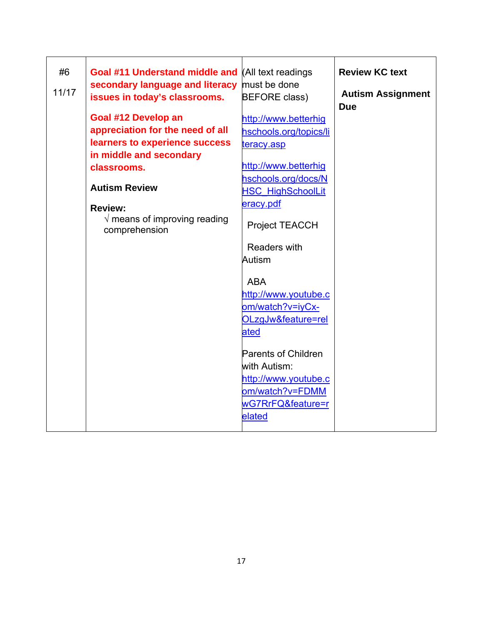| #6    | Goal #11 Understand middle and        | (All text readings         | <b>Review KC text</b>                  |
|-------|---------------------------------------|----------------------------|----------------------------------------|
| 11/17 | secondary language and literacy       | must be done               |                                        |
|       | issues in today's classrooms.         | <b>BEFORE class)</b>       | <b>Autism Assignment</b><br><b>Due</b> |
|       | Goal #12 Develop an                   | http://www.betterhig       |                                        |
|       | appreciation for the need of all      | hschools.org/topics/li     |                                        |
|       | learners to experience success        | teracy.asp                 |                                        |
|       | in middle and secondary               |                            |                                        |
|       | classrooms.                           | http://www.betterhig       |                                        |
|       |                                       | hschools.org/docs/N        |                                        |
|       | <b>Autism Review</b>                  | <b>HSC_HighSchoolLit</b>   |                                        |
|       | <b>Review:</b>                        | eracy.pdf                  |                                        |
|       | $\sqrt{ }$ means of improving reading |                            |                                        |
|       | comprehension                         | <b>Project TEACCH</b>      |                                        |
|       |                                       | <b>Readers with</b>        |                                        |
|       |                                       | Autism                     |                                        |
|       |                                       |                            |                                        |
|       |                                       | <b>ABA</b>                 |                                        |
|       |                                       | http://www.youtube.c       |                                        |
|       |                                       | om/watch?v=iyCx-           |                                        |
|       |                                       | OLzgJw&feature=rel         |                                        |
|       |                                       | ated                       |                                        |
|       |                                       |                            |                                        |
|       |                                       | <b>Parents of Children</b> |                                        |
|       |                                       | with Autism:               |                                        |
|       |                                       | http://www.youtube.c       |                                        |
|       |                                       | om/watch?v=FDMM            |                                        |
|       |                                       | wG7RrFQ&feature=r          |                                        |
|       |                                       | elated                     |                                        |
|       |                                       |                            |                                        |